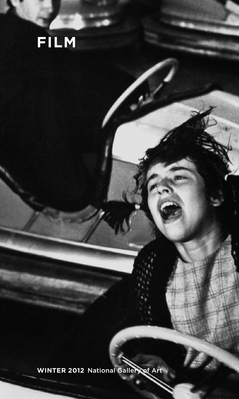# **winter 2012** National Gallery of Art

**film**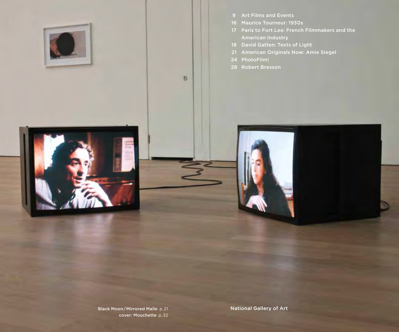



- Maurice Tourneur: 1930s
- Paris to Fort Lee: French Filmmakers and the American Industry
- David Gatten: Texts of Light
- American Originals Now: Amie Siegel
- PhotoFilm!

 $\mathcal{D}$ 

Robert Bresson

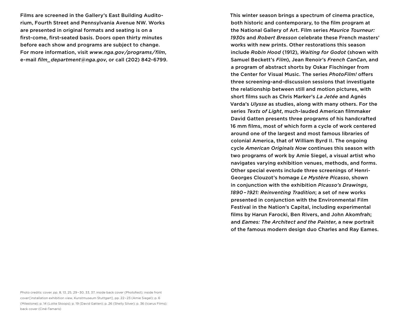Films are screened in the Gallery's East Building Auditorium, Fourth Street and Pennsylvania Avenue NW. Works are presented in original formats and seating is on a first-come, first-seated basis. Doors open thirty minutes before each show and programs are subject to change. For more information, visit *www.nga.gov / programs / film*, e-mail *film\_department@nga.gov*, or call (202) 842-6799.

both historic and contemporary, to the film program at the National Gallery of Art. Film series *Maurice Tourneur: 1930s* and *Robert Bresson* celebrate these French masters' works with new prints. Other restorations this season include *Robin Hood* (1912), *Waiting for Godot* (shown with Samuel Beckett's *Film*), Jean Renoir's *French CanCan*, and a program of abstract shorts by Oskar Fischinger from the Center for Visual Music. The series *PhotoFilm!* offers three screening-and-discussion sessions that investigate the relationship between still and motion pictures, with short films such as Chris Marker's *La Jetée* and Agnès Varda's *Ulysse* as studies, along with many others. For the series *Texts of Light*, much-lauded American filmmaker David Gatten presents three programs of his handcrafted 16 mm films, most of which form a cycle of work centered around one of the largest and most famous libraries of colonial America, that of William Byrd II. The ongoing cycle *American Originals Now* continues this season with two programs of work by Amie Siegel, a visual artist who navigates varying exhibition venues, methods, and forms. Other special events include three screenings of Henri-Georges Clouzot's homage *Le Mystère Picasso*, shown in conjunction with the exhibition *Picasso's Drawings, 1890 – 1921: Reinventing Tradition*; a set of new works presented in conjunction with the Environmental Film Festival in the Nation's Capital, including experimental films by Harun Farocki, Ben Rivers, and John Akomfrah; and *Eames: The Architect and the Painter*, a new portrait of the famous modern design duo Charles and Ray Eames.

This winter season brings a spectrum of cinema practice,

Photo credits: cover, pp. 8, 13, 25, 29 – 30, 33, 37, inside back cover (Photofest); inside front cover [installation exhibition view, Kunstmuseum Stuttgart], pp. 22 – 23 (Amie Siegel); p. 6 (Milestone); p. 14 (Lotte Stoops); p. 19 (David Gatten); p. 26 (Shelly Silver); p. 36 (Icarus Films); back cover (Ciné-Tamaris)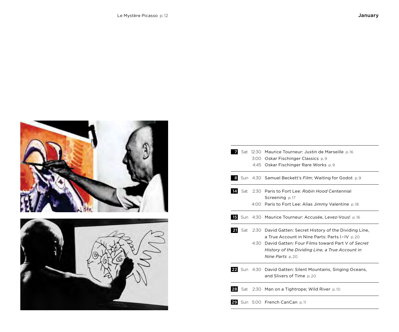



|     |     | Sat 12:30 Maurice Tourneur: Justin de Marseille p.16                                                                                                                         |
|-----|-----|------------------------------------------------------------------------------------------------------------------------------------------------------------------------------|
|     |     | 3:00 Oskar Fischinger Classics p.9                                                                                                                                           |
|     |     | 4:45 Oskar Fischinger Rare Works p.9                                                                                                                                         |
|     |     | <b>8</b> Sun 4:30 Samuel Beckett's <i>Film</i> ; Waiting for Godot p.9                                                                                                       |
| 141 | Sat | 2:30 Paris to Fort Lee: Robin Hood Centennial                                                                                                                                |
|     |     | Screening p.17<br>4:00 Paris to Fort Lee: Alias Jimmy Valentine p.18                                                                                                         |
|     |     | <b>15</b> Sun 4:30 Maurice Tourneur: Accusée, Levez-Vous! p.16                                                                                                               |
| 21  | Sat | 2:30 David Gatten: Secret History of the Dividing Line,                                                                                                                      |
|     |     | a True Account in Nine Parts: Parts I-IV p.20<br>4:30 David Gatten: Four Films toward Part V of Secret<br>History of the Dividing Line, a True Account in<br>Nine Parts p.20 |
|     |     | 22 Sun 4:30 David Gatten: Silent Mountains, Singing Oceans,<br>and Slivers of Time p.20                                                                                      |
|     |     | 28 Sat 2:30 Man on a Tightrope; Wild River p.10                                                                                                                              |
|     |     | 29 Sun 5:00 French CanCan p.11                                                                                                                                               |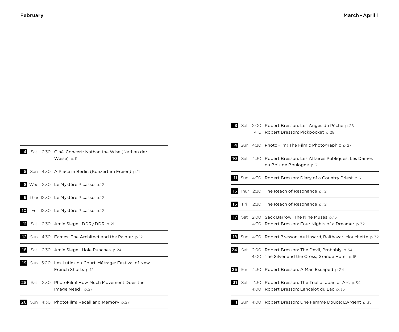| Sat | 2:30 Ciné-Concert: Nathan the Wise (Nathan der<br>Weise) p.11                         |
|-----|---------------------------------------------------------------------------------------|
|     | Sun 4:30 A Place in Berlin (Konzert im Freien) p.11                                   |
|     | 8 Wed 2:30 Le Mystère Picasso p.12                                                    |
|     | <b>9</b> Thur 12:30 Le Mystère Picasso p.12                                           |
|     | <b>10</b> Fri 12:30 Le Mystère Picasso p.12                                           |
|     | <b>ii</b> Sat 2:30 Amie Siegel: DDR/DDR p.21                                          |
|     | <b>12</b> Sun 4:30 Eames: The Architect and the Painter p.12                          |
|     | <b>B</b> Sat 2:30 Amie Siegel: Hole Punches p.24                                      |
|     | <b>19</b> Sun 5:00 Les Lutins du Court-Métrage: Festival of New<br>French Shorts p.12 |
|     | 25 Sat 2:30 PhotoFilm! How Much Movement Does the<br>Image Need? p.27                 |
|     | 26 Sun 4:30 PhotoFilm! Recall and Memory p.27                                         |

|    |  | Solden Sat 2:00 Robert Bresson: Les Anges du Péché p.28<br>4:15 Robert Bresson: Pickpocket p.28               |
|----|--|---------------------------------------------------------------------------------------------------------------|
|    |  | 4. Sun 4:30 PhotoFilm! The Filmic Photographic p.27                                                           |
|    |  | 10 Sat 4:30 Robert Bresson: Les Affaires Publiques; Les Dames<br>du Bois de Boulogne p. 31                    |
|    |  | <b>1</b> Sun 4:30 Robert Bresson: Diary of a Country Priest p.31                                              |
|    |  | <b>15</b> Thur 12:30 The Reach of Resonance p.12                                                              |
| 16 |  | Fri 12:30 The Reach of Resonance p.12                                                                         |
|    |  | <b>17</b> Sat 2:00 Sack Barrow; The Nine Muses p.15<br>4:30 Robert Bresson: Four Nights of a Dreamer p.32     |
|    |  | 18 Sun 4:30 Robert Bresson: Au Hasard, Balthazar; Mouchette p.32                                              |
|    |  | 24 Sat 2:00 Robert Bresson: The Devil, Probably p.34<br>4:00 The Silver and the Cross; Grande Hotel p.15      |
|    |  | 25 Sun 4:30 Robert Bresson: A Man Escaped p.34                                                                |
|    |  | <b>51</b> Sat 2:30 Robert Bresson: The Trial of Joan of Arc p.34<br>4:00 Robert Bresson: Lancelot du Lac p.35 |
|    |  | Sun 4:00 Robert Bresson: Une Femme Douce; L'Argent p.35                                                       |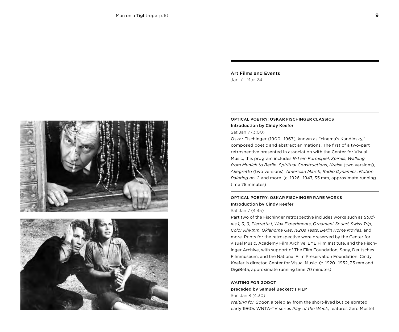Art Films and Events Jan 7 – Mar 24

# Optical Poetry: Oskar Fischinger Classics Introduction by Cindy Keefer

Sat Jan 7 (3:00)

Oskar Fischinger (1900 – 1967), known as "cinema's Kandinsky," composed poetic and abstract animations. The first of a two-part retrospective presented in association with the Center for Visual Music, this program includes *R-1 ein Formspiel*, *Spirals*, *Walking from Munich to Berlin*, *Spiritual Constructions*, *Kreise* (two versions), *Allegretto* (two versions), *American March*, *Radio Dynamics*, *Motion Painting no. 1*, and more. (c. 1926 – 1947, 35 mm, approximate running time 75 minutes)

# Optical Poetry: Oskar Fischinger Rare Works Introduction by Cindy Keefer

### Sat Jan 7 (4:45)

Part two of the Fischinger retrospective includes works such as *Studies 1, 3, 9*, *Pierrette I*, *Wax Experiments*, *Ornament Sound*, *Swiss Trip*, *Color Rhythm*, *Oklahoma Gas*, *1920s Tests*, *Berlin Home Movies*, and more. Prints for the retrospective were preserved by the Center for Visual Music, Academy Film Archive, EYE Film Institute, and the Fischinger Archive, with support of The Film Foundation, Sony, Deutsches Filmmuseum, and the National Film Preservation Foundation. Cindy Keefer is director, Center for Visual Music. (c. 1920 – 1952, 35 mm and DigiBeta, approximate running time 70 minutes)

### WAITING FOR GODOT preceded by Samuel Beckett's Film Sun Jan 8 (4:30)

*Waiting for Godot*, a teleplay from the short-lived but celebrated early 1960s WNTA-TV series *Play of the Week*, features Zero Mostel

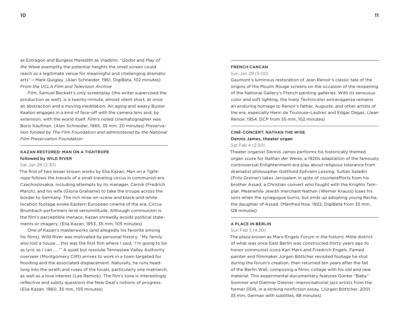as Estragon and Burgess Meredith as Vladimir. "*Godot* and *Play of the Week* exemplify the potential heights the small screen could reach as a legitimate venue for meaningful and challenging dramatic arts" — Mark Quigley. (Alan Schneider, 1961, DigiBeta, 102 minutes) *From the UCLA Film and Television Archive*

*Film*, Samuel Beckett's only screenplay (the writer supervised the production as well), is a twenty-minute, almost silent short, at once an abstraction and a moving meditation. An aging and weary Buster Keaton engages in a kind of face-off with the camera lens and, by extension, with the world itself. *Film*'s noted cinematographer was Boris Kaufman. (Alan Schneider, 1965, 35 mm, 20 minutes) *Preservation funded by The Film Foundation and administered by the National Film Preservation Foundation*

# KAZAN RESTORED: MAN ON A TIGHTROPE followed by WILD RIVER

#### Sat Jan 28 (2:30)

The first of two lesser known works by Elia Kazan, *Man on a Tightrope* follows the travails of a small traveling circus in communist-era Czechoslovakia, including attempts by its manager, Cernik (Fredrich March), and his wife (Gloria Grahame) to take the troupe across the border to Germany. The rich mise-en-scène and black-and-white location footage evoke Eastern European cinema of the era; Circus Brumbach performers lend verisimilitude. Although communism is the film's perceptible menace, Kazan shrewdly avoids political statements or imagery. (Elia Kazan, 1953, 35 mm, 105 minutes)

One of Kazan's masterworks (and allegedly his favorite among his films), *Wild River* was motivated by personal history: "My family also lost a house . . . this was the first film where I said, 'I'm going to be as lyric as I can ....<sup>'</sup>" A quiet but resolute Tennessee Valley Authority overseer (Montgomery Clift) arrives to work in a town targeted for flooding and the associated displacement. Naturally, he runs headlong into the wrath and ruses of the locals, particularly one matriarch, as well as a love interest (Lee Remick). The film's tone is interestingly reflective and subtly questions the New Deal's notions of progress. (Elia Kazan, 1960, 35 mm, 105 minutes)

### French CanCan

### Sun Jan 29 (5:00)

Gaumont's luminous restoration of Jean Renoir's classic tale of the origins of the Moulin Rouge screens on the occasion of the reopening of the National Gallery's French painting galleries. With its sensuous color and soft lighting, the lively Technicolor extravaganza remains an enduring homage to Renoir's father, Auguste, and other artists of the era, especially Henri de Toulouse-Lautrec and Edgar Degas. (Jean Renoir, 1954, DCP from 35 mm, 102 minutes)

### ciné-concert: Nathan the Wise Dennis James, theater organ

### Sat Feb 4 (2:30)

Theater organist Dennis James performs his historically themed organ score for *Nathan der Weise*, a 1920s adaptation of the famously controversial Enlightenment-era play about religious tolerance from dramatist philosopher Gotthold Ephraim Lessing. Sultan Saladin (Fritz Greiner) takes Jerusalem in spite of counterefforts from his brother Assad, a Christian convert who fought with the Knights Templar. Meanwhile Jewish merchant Nathan (Werner Krauss) loses his sons when the synagogue burns, but ends up adopting young Recha, the daughter of Assad. (Manfred Noa, 1922, DigiBeta from 35 mm, 128 minutes)

#### A Place in Berlin

#### Sun Feb 5 (4:30)

The plaza known as Marx-Engels Forum in the historic Mitte district of what was once East Berlin was constructed thirty years ago to honor communist icons Karl Marx and Friedrich Engels. Famed painter and filmmaker Jürgen Böttcher revisited footage he shot during the forum's creation, then returned ten years after the fall of the Berlin Wall, composing a filmic collage with his old and new material. This experimental documentary features Günter "Baby" Sommer and Dietmar Diesner, improvisational jazz artists from the former DDR, in a striking nonfiction essay. (Jürgen Böttcher, 2001, 35 mm, German with subtitles, 88 minutes)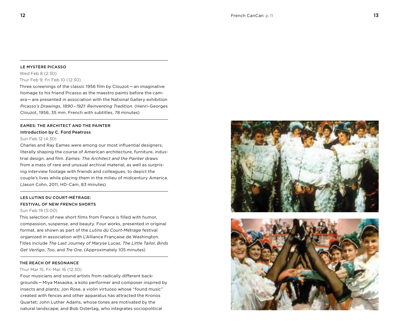### Le Mystère Picasso

Wed Feb 8 (2:30) Thur Feb 9, Fri Feb 10 (12:30)

Three screenings of the classic 1956 film by Clouzot — an imaginative homage to his friend Picasso as the maestro paints before the camera — are presented in association with the National Gallery exhibition *Picasso's Drawings, 1890 – 1921: Reinventing Tradition*. (Henri-Georges Clouzot, 1956, 35 mm, French with subtitles, 78 minutes)

# Eames: The Architect and the Painter Introduction by C. Ford Peatross

#### Sun Feb 12 (4:30)

Charles and Ray Eames were among our most influential designers, literally shaping the course of American architecture, furniture, industrial design, and film. *Eames: The Architect and the Painter* draws from a mass of rare and unusual archival material, as well as surprising interview footage with friends and colleagues, to depict the couple's lives while placing them in the milieu of midcentury America. (Jason Cohn, 2011, HD-Cam, 83 minutes)

# LES LUTINS DU COURT-MÉTRAGE: Festival of New French Shorts

### Sun Feb 19 (5:00)

This selection of new short films from France is filled with humor, compassion, suspense, and beauty. Four works, presented in original format, are shown as part of the *Lutins du Court-Métrage* festival organized in association with L'Alliance Française de Washington. Titles include *The Last Journey of Maryse Lucas*, *The Little Tailor*, *Birds Get Vertigo*, *Too*, and *Tre Ore*. (Approximately 105 minutes)

#### The Reach of Resonance

### Thur Mar 15, Fri Mar 16 (12:30)

Four musicians and sound artists from radically different backgrounds — Miya Masaoka, a koto performer and composer inspired by insects and plants; Jon Rose, a violin virtuoso whose "found music" created with fences and other apparatus has attracted the Kronos Quartet; John Luther Adams, whose tones are motivated by the natural landscape; and Bob Ostertag, who integrates sociopolitical



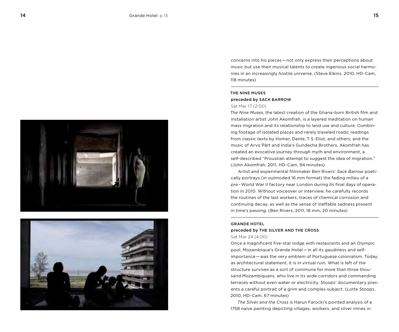



concerns into his pieces — not only express their perceptions about music but use their musical talents to create ingenious social harmonies in an increasingly hostile universe. (Steve Elkins, 2010, HD-Cam, 118 minutes)

### The Nine Muses preceded by Sack Barrow Sat Mar 17 (2:00)

*The Nine Muses*, the latest creation of the Ghana-born British film and installation artist John Akomfrah, is a layered meditation on human mass migration and its relationship to land use and culture. Combining footage of isolated places and rarely traveled roads; readings from classic texts by Homer, Dante, T. S. Eliot, and others; and the music of Arvo Pärt and India's Gundecha Brothers, Akomfrah has created an evocative journey through myth and environment, a self-described "Proustian attempt to suggest the idea of migration." (John Akomfrah, 2011, HD-Cam, 94 minutes)

Artist and experimental filmmaker Ben Rivers' *Sack Barrow* poetically portrays (in outmoded 16 mm format) the fading milieu of a pre – World War II factory near London during its final days of operation in 2010. Without voiceover or interview, he carefully records the routines of the last workers, traces of chemical corrosion and continuing decay, as well as the sense of ineffable sadness present in time's passing. (Ben Rivers, 2011, 16 mm, 20 minutes)

### Grande Hotel

### preceded by THE SILVER AND THE CROSS Sat Mar 24 (4:00)

Once a magnificent five-star lodge with restaurants and an Olympic pool, Mozambique's Grande Hotel — in all its gaudiness and selfimportance — was the very emblem of Portuguese colonialism. Today, as architectural statement, it is in virtual ruin. What is left of the structure survives as a sort of commune for more than three thousand Mozambiquans, who live in its wide corridors and commanding terraces without even water or electricity. Stoops' documentary presents a careful portrait of a grim and complex subject. (Lotte Stoops, 2010, HD-Cam, 67 minutes)

*The Silver and the Cross* is Harun Farocki's pointed analysis of a 1758 naive painting depicting villages, workers, and silver mines in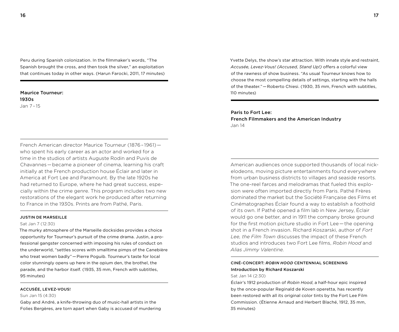Peru during Spanish colonization. In the filmmaker's words, "The Spanish brought the cross, and then took the silver," an exploitation that continues today in other ways. (Harun Farocki, 2011, 17 minutes)

### Maurice Tourneur: 1930s Jan 7 – 15

French American director Maurice Tourneur (1876 – 1961)   who spent his early career as an actor and worked for a time in the studios of artists Auguste Rodin and Puvis de Chavannes — became a pioneer of cinema, learning his craft initially at the French production house Éclair and later in America at Fort Lee and Paramount. By the late 1920s he had returned to Europe, where he had great success, especially within the crime genre. This program includes two new restorations of the elegant work he produced after returning to France in the 1930s. Prints are from Pathé, Paris.

### Justin de Marseille

### Sat Jan 7 (12:30)

The murky atmosphere of the Marseille docksides provides a choice opportunity for Tourneur's pursuit of the crime drama. Justin, a professional gangster concerned with imposing his rules of conduct on the underworld, "settles scores with smalltime pimps of the Canebière who treat women badly" — Pierre Poguib. Tourneur's taste for local color stunningly opens up here in the opium den, the brothel, the parade, and the harbor itself. (1935, 35 mm, French with subtitles, 95 minutes)

### Accusée, Levez-Vous!

### Sun Jan 15 (4:30)

Gaby and André, a knife-throwing duo of music-hall artists in the Folies Bergères, are torn apart when Gaby is accused of murdering Yvette Delys, the show's star attraction. With innate style and restraint, *Accusée, Levez-Vous! (Accused, Stand Up!)* offers a colorful view of the rawness of show business. "As usual Tourneur knows how to choose the most compelling details of settings, starting with the halls of the theater." — Roberto Chiesi. (1930, 35 mm, French with subtitles, 110 minutes)

# Paris to Fort Lee:

French Filmmakers and the American Industry Jan 14

American audiences once supported thousands of local nickelodeons, moving picture entertainments found everywhere from urban business districts to villages and seaside resorts. The one-reel farces and melodramas that fueled this explosion were often imported directly from Paris. Pathé Frères dominated the market but the Société Française des Films et Cinématographes Éclair found a way to establish a foothold of its own. If Pathé opened a film lab in New Jersey, Éclair would go one better, and in 1911 the company broke ground for the first motion picture studio in Fort Lee – the opening shot in a French invasion. Richard Koszarski, author of *Fort Lee, the Film Town* discusses the impact of these French studios and introduces two Fort Lee films, *Robin Hood* and *Alias Jimmy Valentine*.

# Ciné-Concert : *Robin Hood* Centennial Screening Introduction by Richard Koszarski

### Sat Jan 14 (2:30)

Éclair's 1912 production of *Robin Hood*, a half-hour epic inspired by the once-popular Reginald de Koven operetta, has recently been restored with all its original color tints by the Fort Lee Film Commission. (Étienne Arnaud and Herbert Blaché, 1912, 35 mm, 35 minutes)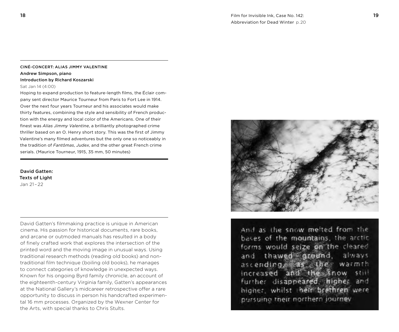# Ciné-Concert: Alias Jimmy Valentine Andrew Simpson, piano

### Introduction by Richard Koszarski

### Sat Jan 14 (4:00)

Hoping to expand production to feature-length films, the Éclair company sent director Maurice Tourneur from Paris to Fort Lee in 1914. Over the next four years Tourneur and his associates would make thirty features, combining the style and sensibility of French production with the energy and local color of the Americans. One of their finest was *Alias Jimmy Valentine*, a brilliantly photographed crime thriller based on an O. Henry short story. This was the first of Jimmy Valentine's many filmed adventures but the only one so noticeably in the tradition of *Fantômas*, *Judex*, and the other great French crime serials. (Maurice Tourneur, 1915, 35 mm, 50 minutes)

# David Gatten: Texts of Light Jan 21 – 22

David Gatten's filmmaking practice is unique in American cinema. His passion for historical documents, rare books, and arcane or outmoded manuals has resulted in a body of finely crafted work that explores the intersection of the printed word and the moving image in unusual ways. Using traditional research methods (reading old books) and nontraditional film technique (boiling old books), he manages to connect categories of knowledge in unexpected ways. Known for his ongoing Byrd family chronicle, an account of the eighteenth-century Virginia family, Gatten's appearances at the National Gallery's midcareer retrospective offer a rare opportunity to discuss in person his handcrafted experimental 16 mm processes. Organized by the Wexner Center for the Arts, with special thanks to Chris Stults.



And as the snow melted from the bases of the mountains, the arctic forms would seize on the cleared and thawed ground, always ascending, as the warmth increased and the snow  $5522$ further disappeared, higher and higher, whilst their brethren were pursuino their northern journey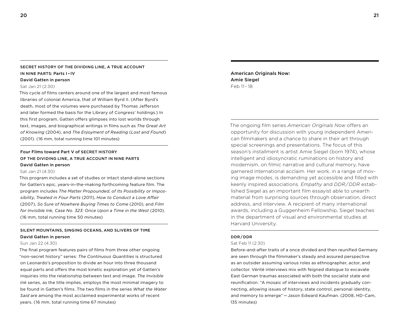# SECRET HISTORY OF THE DIVIDING LINE, A TRUE ACCOUNT in Nine Parts : Parts I – IV

### David Gatten in person

### Sat Jan 21 (2:30)

This cycle of films centers around one of the largest and most famous libraries of colonial America, that of William Byrd II. (After Byrd's death, most of the volumes were purchased by Thomas Jefferson and later formed the basis for the Library of Congress' holdings.) In this first program, Gatten offers glimpses into lost worlds through text, images, and biographical writings in films such as *The Great Art of Knowing* (2004), and *The Enjoyment of Reading* (*Lost and Found*) (2001). (16 mm, total running time 101 minutes)

# Four Films toward Part V of SECRET HISTORY of the Dividing Line, a True Account in Nine Parts David Gatten in person

### Sat Jan 21 (4:30)

This program includes a set of studies or intact stand-alone sections for Gatten's epic, years-in-the-making forthcoming feature film. The program includes *The Matter Propounded*, *of Its Possibility or Impossibility*, *Treated in Four Parts* (2011), *How to Conduct a Love Affair* (2007), *So Sure of Nowhere Buying Times to Come* (2010), and *Film for Invisible Ink, Case No. 323: Once Upon a Time in the West* (2010). (16 mm, total running time 50 minutes)

# SILENT MOUNTAINS, SINGING OCEANS, AND SLIVERS OF TIME David Gatten in person

### Sun Jan 22 (4:30)

The final program features pairs of films from three other ongoing "non-secret history" series: *The Continuous Quantities* is structured on Leonardo's proposition to divide an hour into three thousand equal parts and offers the most kinetic exploration yet of Gatten's inquiries into the relationship between text and image. *The Invisible Ink* series, as the title implies, employs the most minimal imagery to be found in Gatten's films. The two films in the series *What the Water Said* are among the most acclaimed experimental works of recent years. (16 mm, total running time 67 minutes)

American Originals Now: Amie Siegel Feb 11 – 18

The ongoing film series *American Originals Now* offers an opportunity for discussion with young independent American filmmakers and a chance to share in their art through special screenings and presentations. The focus of this season's installment is artist Amie Siegel (born 1974), whose intelligent and idiosyncratic ruminations on history and modernism, on filmic narrative and cultural memory, have garnered international acclaim. Her work, in a range of moving image modes, is demanding yet accessible and filled with keenly inspired associations. *Empathy* and *DDR / DDR* established Siegel as an important film essayist able to unearth material from surprising sources through observation, direct address, and interview. A recipient of many international awards, including a Guggenheim Fellowship, Siegel teaches in the department of visual and environmental studies at Harvard University.

### DDR / DDR

### Sat Feb 11 (2:30)

Before-and-after traits of a once divided and then reunified Germany are seen through the filmmaker's steady and assured perspective as an outsider assuming various roles as ethnographer, actor, and collector. Vérité interviews mix with feigned dialogue to excavate East German traumas associated with both the socialist state and reunification. "A mosaic of interviews and incidents gradually connecting, allowing issues of history, state control, personal identity, and memory to emerge" — Jason Edward Kaufman. (2008, HD-Cam, 135 minutes)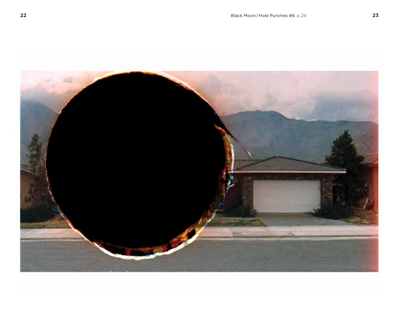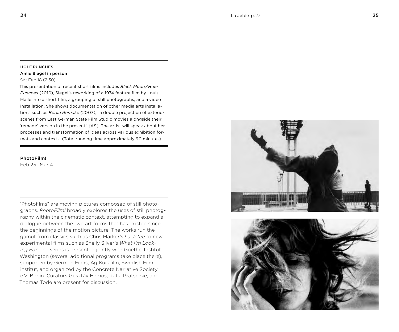#### Hole Punches

#### Amie Siegel in person

### Sat Feb 18 (2:30)

This presentation of recent short films includes *Black Moon / Hole Punches* (2010), Siegel's reworking of a 1974 feature film by Louis Malle into a short film, a grouping of still photographs, and a video installation. She shows documentation of other media arts installations such as *Berlin Remake* (2007), "a double projection of exterior scenes from East German State Film Studio movies alongside their 'remade' version in the present" (AS). The artist will speak about her processes and transformation of ideas across various exhibition formats and contexts. (Total running time approximately 90 minutes)

### PhotoFilm!

Feb 25 – Mar 4

"Photofilms" are moving pictures composed of still photographs. *PhotoFilm!* broadly explores the uses of still photography within the cinematic context, attempting to expand a dialogue between the two art forms that has existed since the beginnings of the motion picture. The works run the gamut from classics such as Chris Marker's *La Jetée* to new experimental films such as Shelly Silver's *What I'm Looking For*. The series is presented jointly with Goethe-Institut Washington (several additional programs take place there), supported by German Films, Ag Kurzfilm, Swedish Filminstitut, and organized by the Concrete Narrative Society e.V. Berlin. Curators Gusztáv Hámos, Katja Pratschke, and Thomas Tode are present for discussion.



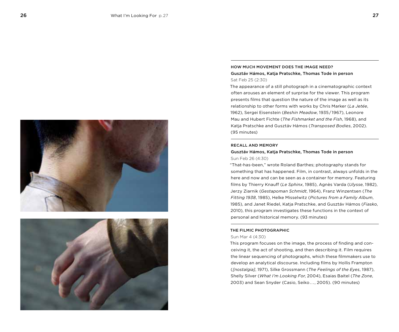



## How Much Movement Does the Image Need? Gusztáv Hámos, Katja Pratschke, Thomas Tode in person Sat Feb 25 (2:30)

The appearance of a still photograph in a cinematographic context often arouses an element of surprise for the viewer. This program presents films that question the nature of the image as well as its relationship to other forms with works by Chris Marker (*La Jetée*, 1962), Sergei Eisenstein (*Beshin Meadow*, 1935 / 1967), Leonore Mau and Hubert Fichte (*The Fishmarket and the Fish*, 1968), and Katja Pratschke and Gusztáv Hámos (*Transposed Bodies*, 2002). (95 minutes)

### RECALL AND MEMORY

### Gusztáv Hámos, Katja Pratschke, Thomas Tode in person Sun Feb 26 (4:30)

"That-has-been," wrote Roland Barthes; photography stands for something that has happened. Film, in contrast, always unfolds in the here and now and can be seen as a container for memory. Featuring films by Thierry Knauff (*Le Sphinx*, 1985), Agnès Varda (*Ulysse*, 1982), Jerzy Ziarnik (*Gestapoman Schmidt*, 1964), Franz Winzentsen (*The Fitting 1938*, 1985), Helke Misselwitz (*Pictures from a Family Album*, 1985), and Janet Riedel, Katja Pratschke, and Gusztáv Hámos (*Fiasko*, 2010), this program investigates these functions in the context of personal and historical memory. (93 minutes)

### The Filmic Photographic

### Sun Mar 4 (4:30)

This program focuses on the image, the process of finding and conceiving it, the act of shooting, and then describing it. Film requires the linear sequencing of photographs, which these filmmakers use to develop an analytical discourse. Including films by Hollis Frampton (*[nostalgia]*, 1971), Silke Grossmann (*The Feelings of the Eyes*, 1987), Shelly Silver (*What I'm Looking For*, 2004), Esaias Baitel (*The Zone*, 2003) and Sean Snyder (Casio, Seiko . . . , 2005). (90 minutes)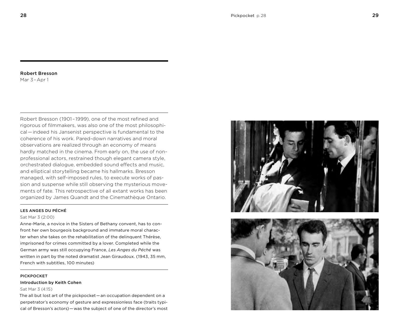### Robert Bresson Mar 3 – Apr 1

Robert Bresson (1901 – 1999), one of the most refined and rigorous of filmmakers, was also one of the most philosophical — indeed his Jansenist perspective is fundamental to the coherence of his work. Pared-down narratives and moral observations are realized through an economy of means hardly matched in the cinema. From early on, the use of nonprofessional actors, restrained though elegant camera style, orchestrated dialogue, embedded sound effects and music, and elliptical storytelling became his hallmarks. Bresson managed, with self-imposed rules, to execute works of passion and suspense while still observing the mysterious movements of fate. This retrospective of all extant works has been organized by James Quandt and the Cinemathèque Ontario.

### Les Anges du Péché

#### Sat Mar 3 (2:00)

Anne-Marie, a novice in the Sisters of Bethany convent, has to confront her own bourgeois background and immature moral character when she takes on the rehabilitation of the delinquent Thérèse. imprisoned for crimes committed by a lover. Completed while the German army was still occupying France, *Les Anges du Péché* was written in part by the noted dramatist Jean Giraudoux. (1943, 35 mm, French with subtitles, 100 minutes)

### **PICKPOCKET**

### Introduction by Keith Cohen

Sat Mar 3 (4:15)

The all but lost art of the pickpocket — an occupation dependent on a perpetrator's economy of gesture and expressionless face (traits typical of Bresson's actors) — was the subject of one of the director's most

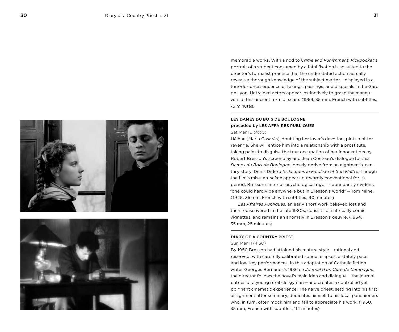



memorable works. With a nod to *Crime and Punishment*, *Pickpocket*'s portrait of a student consumed by a fatal fixation is so suited to the director's formalist practice that the understated action actually reveals a thorough knowledge of the subject matter — displayed in a tour-de-force sequence of takings, passings, and disposals in the Gare de Lyon. Untrained actors appear instinctively to grasp the maneuvers of this ancient form of scam. (1959, 35 mm, French with subtitles, 75 minutes)

### Les Dames du Bois de Boulogne preceded by Les Affaires Publiques Sat Mar 10 (4:30)

Hélène (Maria Casarès), doubting her lover's devotion, plots a bitter revenge. She will entice him into a relationship with a prostitute, taking pains to disguise the true occupation of her innocent decoy. Robert Bresson's screenplay and Jean Cocteau's dialogue for *Les Dames du Bois de Boulogne* loosely derive from an eighteenth-century story, Denis Diderot's *Jacques le Fataliste et Son Maître*. Though the film's mise-en-scène appears outwardly conventional for its period, Bresson's interior psychological rigor is abundantly evident: "one could hardly be anywhere but in Bresson's world" — Tom Milne. (1945, 35 mm, French with subtitles, 90 minutes)

*Les Affaires Publiques*, an early short work believed lost and then rediscovered in the late 1980s, consists of satirically comic vignettes, and remains an anomaly in Bresson's oeuvre. (1934, 35 mm, 25 minutes)

### Diary of a Country Priest

### Sun Mar 11 (4:30)

By 1950 Bresson had attained his mature style — rational and reserved, with carefully calibrated sound, ellipses, a stately pace, and low-key performances. In this adaptation of Catholic fiction writer Georges Bernanos's 1936 *Le Journal d'un Curé de Campagne*, the director follows the novel's main idea and dialogue — the journal entries of a young rural clergyman — and creates a controlled yet poignant cinematic experience. The naive priest, settling into his first assignment after seminary, dedicates himself to his local parishioners who, in turn, often mock him and fail to appreciate his work. (1950, 35 mm, French with subtitles, 114 minutes)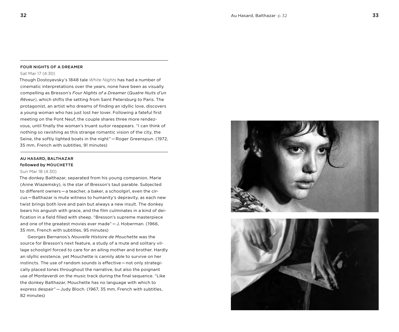#### Four Nights of a Dreamer

Sat Mar 17 (4:30)

Though Dostoyevsky's 1848 tale *White Nights* has had a number of cinematic interpretations over the years, none have been as visually compelling as Bresson's *Four Nights of a Dreamer* (*Quatre Nuits d'un Rêveur)*, which shifts the setting from Saint Petersburg to Paris. The protagonist, an artist who dreams of finding an idyllic love, discovers a young woman who has just lost her lover. Following a fateful first meeting on the Pont Neuf, the couple shares three more rendezvous, until finally the woman's truant suitor reappears. "I can think of nothing so ravishing as this strange romantic vision of the city, the Seine, the softly lighted boats in the night" — Roger Greenspun. (1972, 35 mm, French with subtitles, 91 minutes)

### Au Hasard, Balthazar followed by MOUCHETTE

#### Sun Mar 18 (4:30)

The donkey Balthazar, separated from his young companion, Marie (Anne Wiazemsky), is the star of Bresson's taut parable. Subjected to different owners — a teacher, a baker, a schoolgirl, even the circus — Balthazar is mute witness to humanity's depravity, as each new twist brings both love and pain but always a new insult. The donkey bears his anguish with grace, and the film culminates in a kind of deification in a field filled with sheep. "Bresson's supreme masterpiece and one of the greatest movies ever made" — J. Hoberman. (1966, 35 mm, French with subtitles, 95 minutes)

Georges Bernanos's *Nouvelle Histoire de Mouchette* was the source for Bresson's next feature, a study of a mute and solitary village schoolgirl forced to care for an ailing mother and brother. Hardly an idyllic existence, yet Mouchette is cannily able to survive on her instincts. The use of random sounds is effective — not only strategically placed tones throughout the narrative, but also the poignant use of Monteverdi on the music track during the final sequence. "Like the donkey Balthazar, Mouchette has no language with which to express despair" — Judy Bloch. (1967, 35 mm, French with subtitles, 82 minutes)

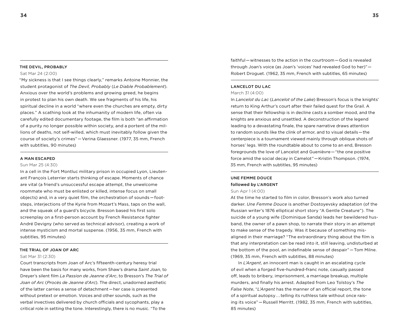#### THE DEVIL, PROBABLY

#### Sat Mar 24 (2:00)

"My sickness is that I see things clearly," remarks Antoine Monnier, the student protagonist of *The Devil, Probably* (*Le Diable Probablement*). Anxious over the world's problems and growing greed, he begins in protest to plan his own death. We see fragments of his life, his spiritual decline in a world "where even the churches are empty, dirty places." A scathing look at the inhumanity of modern life, often via carefully edited documentary footage, the film is both "an affirmation of a purity no longer possible within society, and a portent of the millions of deaths, not self-willed, which must inevitably follow given the course of society's crimes" — Verina Glaessner. (1977, 35 mm, French with subtitles, 90 minutes)

### A Man Escaped

#### Sun Mar 25 (4:30)

In a cell in the Fort Montluc military prison in occupied Lyon, Lieutenant François Leterrier starts thinking of escape. Moments of chance are vital (a friend's unsuccessful escape attempt, the unwelcome roommate who must be enlisted or killed, intense focus on small objects) and, in a very quiet film, the orchestration of sounds — footsteps, interjections of the Kyrie from Mozart's Mass, taps on the wall, and the squeak of a guard's bicycle. Bresson based his first solo screenplay on a first-person account by French Resistance fighter André Devigny (who served as technical advisor), creating a work of intense mysticism and mortal suspense. (1956, 35 mm, French with subtitles, 95 minutes)

#### The Trial of Joan of Arc

#### Sat Mar 31 (2:30)

Court transcripts from Joan of Arc's fifteenth-century heresy trial have been the basis for many works, from Shaw's drama *Saint Joan*, to Dreyer's silent film *La Passion de Jeanne d'Arc*, to Bresson's *The Trial of Joan of Arc* (*Procès de Jeanne d'Arc*). The direct, unadorned aesthetic of the latter carries a sense of detachment — her case is presented without pretext or emotion. Voices and other sounds, such as the verbal invectives delivered by church officials and sycophants, play a critical role in setting the tone. Interestingly, there is no music. "To the

faithful – witnesses to the action in the courtroom – God is revealed through Joan's voice (as Joan's 'voices' had revealed God to her)" —  Robert Droguet. (1962, 35 mm, French with subtitles, 65 minutes)

### Lancelot du Lac

### March 31 (4:00)

In *Lancelot du Lac* (*Lancelot of the Lake*) Bresson's focus is the knights' return to King Arthur's court after their failed quest for the Grail. A sense that their fellowship is in decline casts a somber mood, and the knights are anxious and unsettled. A deconstruction of the legend leading to a devastating finale, the spare narrative draws attention to random sounds like the clink of armor, and to visual details — the centerpiece is a tournament viewed mainly through oblique shots of horses' legs. With the roundtable about to come to an end, Bresson foregrounds the love of Lancelot and Guenièvre — "the one positive force amid the social decay in Camelot" — Kristin Thompson. (1974, 35 mm, French with subtitles, 95 minutes)

## Une Femme Douce followed by L'ARGENT

#### Sun Apr 1 (4:00)

At the time he started to film in color, Bresson's work also turned darker. *Une Femme Douce* is another Dostoyevsky adaptation (of the Russian writer's 1876 elliptical short story "A Gentle Creature"). The suicide of a young wife (Dominique Sanda) leads her bewildered husband, the owner of a pawn shop, to narrate their story in an attempt to make sense of the tragedy. Was it because of something misaligned in their marriage? "The extraordinary thing about the film is that any interpretation can be read into it, still leaving, undisturbed at the bottom of the pool, an indefinable sense of despair" — Tom Milne. (1969, 35 mm, French with subtitles, 88 minutes)

In *L'Argent*, an innocent man is caught in an escalating cycle of evil when a forged five-hundred-franc note, casually passed off, leads to bribery, imprisonment, a marriage breakup, multiple murders, and finally his arrest. Adapted from Leo Tolstoy's *The False Note*, "*L'Argent* has the manner of an official report, the tone of a spiritual autopsy . . . telling its ruthless tale without once raising its voice" — Russell Merritt. (1982, 35 mm, French with subtitles, 85 minutes)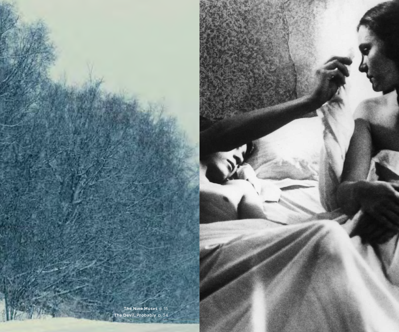The Devil, Probably p. 34 The Nine Muses p. 15

er der den stadt i den stadt i den stadt i den stadt i den stadt i den stadt i den stadt i den stadt i den sta